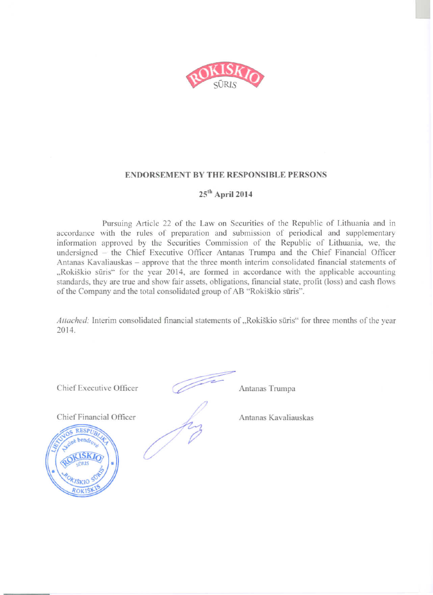

#### **ENDORSEMENT BY THE RESPONSIBLE PERSONS**

## 25<sup>th</sup> April 2014

Pursuing Article 22 of the Law on Securities of the Republic of Lithuania and in accordance with the rules of preparation and submission of periodical and supplementary information approved by the Securities Commission of the Republic of Lithuania, we, the undersigned - the Chief Executive Officer Antanas Trumpa and the Chief Financial Officer Antanas Kavaliauskas - approve that the three month interim consolidated financial statements of "Rokiškio sūris" for the year 2014, are formed in accordance with the applicable accounting standards, they are true and show fair assets, obligations, financial state, profit (loss) and cash flows of the Company and the total consolidated group of AB "Rokiškio sūris".

Attached: Interim consolidated financial statements of "Rokiškio sūris" for three months of the year 2014.

Chief Executive Officer

Chief Financial Officer

RESPU

Antanas Trumpa

Antanas Kavaliauskas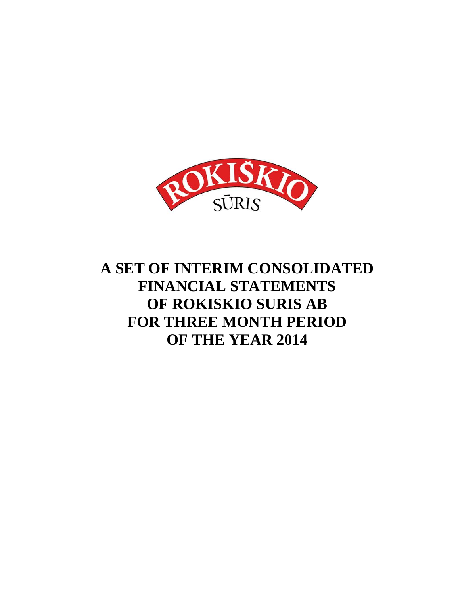

# **A SET OF INTERIM CONSOLIDATED FINANCIAL STATEMENTS OF ROKISKIO SURIS AB FOR THREE MONTH PERIOD OF THE YEAR 2014**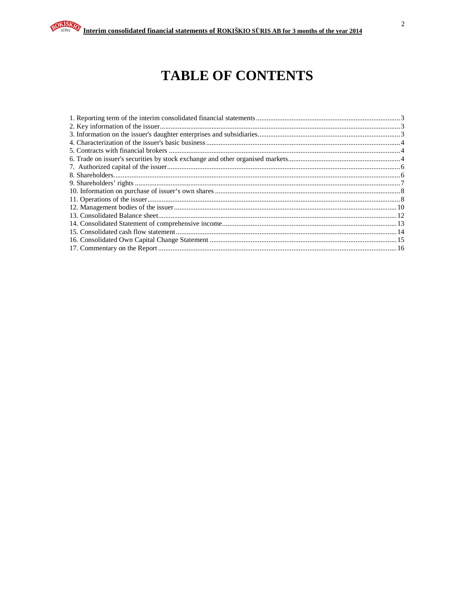# **TABLE OF CONTENTS**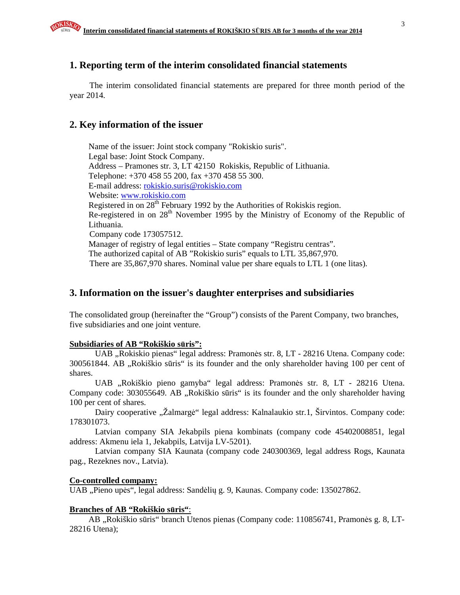# **1. Reporting term of the interim consolidated financial statements**

The interim consolidated financial statements are prepared for three month period of the year 2014.

## **2. Key information of the issuer**

Name of the issuer: Joint stock company "Rokiskio suris". Legal base: Joint Stock Company. Address – Pramones str. 3, LT 42150 Rokiskis, Republic of Lithuania. Telephone: +370 458 55 200, fax +370 458 55 300. E-mail address: rokiskio.suris@rokiskio.com Website: www.rokiskio.com Registered in on  $28<sup>th</sup>$  February 1992 by the Authorities of Rokiskis region. Re-registered in on 28<sup>th</sup> November 1995 by the Ministry of Economy of the Republic of Lithuania. Company code 173057512. Manager of registry of legal entities – State company "Registru centras". The authorized capital of AB "Rokiskio suris" equals to LTL 35,867,970. There are 35,867,970 shares. Nominal value per share equals to LTL 1 (one litas).

## **3. Information on the issuer's daughter enterprises and subsidiaries**

The consolidated group (hereinafter the "Group") consists of the Parent Company, two branches, five subsidiaries and one joint venture.

#### **Subsidiaries of AB "Rokiškio s**ū**ris":**

UAB "Rokiskio pienas" legal address: Pramonės str. 8, LT - 28216 Utena. Company code: 300561844. AB "Rokiškio sūris" is its founder and the only shareholder having 100 per cent of shares.

UAB "Rokiškio pieno gamyba" legal address: Pramonės str. 8, LT - 28216 Utena. Company code: 303055649. AB "Rokiškio sūris" is its founder and the only shareholder having 100 per cent of shares.

Dairy cooperative "Žalmargė" legal address: Kalnalaukio str.1, Širvintos. Company code: 178301073.

Latvian company SIA Jekabpils piena kombinats (company code 45402008851, legal address: Akmenu iela 1, Jekabpils, Latvija LV-5201).

Latvian company SIA Kaunata (company code 240300369, legal address Rogs, Kaunata pag., Rezeknes nov., Latvia).

#### **Co-controlled company:**

UAB "Pieno upės", legal address: Sandėlių g. 9, Kaunas. Company code: 135027862.

#### **Branches of AB "Rokiškio s**ū**ris"**:

AB "Rokiškio sūris" branch Utenos pienas (Company code: 110856741, Pramonės g. 8, LT-28216 Utena);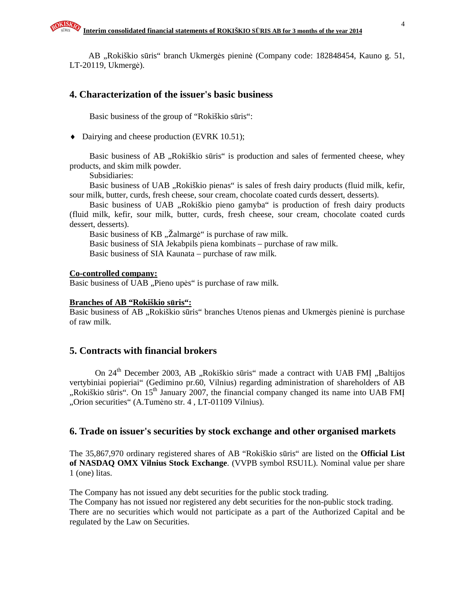AB "Rokiškio sūris" branch Ukmergės pieninė (Company code: 182848454, Kauno g. 51, LT-20119, Ukmergė).

# **4. Characterization of the issuer's basic business**

Basic business of the group of "Rokiškio sūris":

♦ Dairying and cheese production (EVRK 10.51);

Basic business of AB "Rokiškio sūris" is production and sales of fermented cheese, whey products, and skim milk powder.

Subsidiaries:

Basic business of UAB "Rokiškio pienas" is sales of fresh dairy products (fluid milk, kefir, sour milk, butter, curds, fresh cheese, sour cream, chocolate coated curds dessert, desserts).

Basic business of UAB "Rokiškio pieno gamyba" is production of fresh dairy products (fluid milk, kefir, sour milk, butter, curds, fresh cheese, sour cream, chocolate coated curds dessert, desserts).

Basic business of KB "Žalmargė" is purchase of raw milk.

Basic business of SIA Jekabpils piena kombinats – purchase of raw milk.

Basic business of SIA Kaunata – purchase of raw milk.

#### **Co-controlled company:**

Basic business of UAB "Pieno upės" is purchase of raw milk.

#### **Branches of AB "Rokiškio s**ū**ris":**

Basic business of AB "Rokiškio sūris" branches Utenos pienas and Ukmergės pieninė is purchase of raw milk.

#### **5. Contracts with financial brokers**

On 24<sup>th</sup> December 2003, AB "Rokiškio sūris" made a contract with UAB FMĮ "Baltijos vertybiniai popieriai" (Gedimino pr.60, Vilnius) regarding administration of shareholders of AB ", Rokiškio sūris". On  $15<sup>th</sup>$  January 2007, the financial company changed its name into UAB FMI "Orion securities" (A.Tumėno str. 4, LT-01109 Vilnius).

## **6. Trade on issuer's securities by stock exchange and other organised markets**

The 35,867,970 ordinary registered shares of AB "Rokiškio sūris" are listed on the **Official List of NASDAQ OMX Vilnius Stock Exchange**. (VVPB symbol RSU1L). Nominal value per share 1 (one) litas.

The Company has not issued any debt securities for the public stock trading.

The Company has not issued nor registered any debt securities for the non-public stock trading. There are no securities which would not participate as a part of the Authorized Capital and be regulated by the Law on Securities.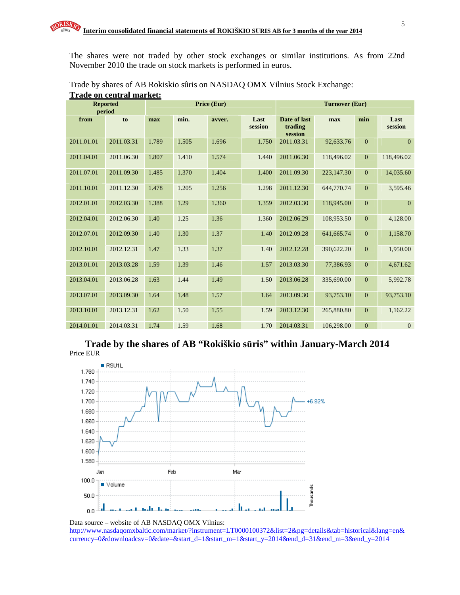The shares were not traded by other stock exchanges or similar institutions. As from 22nd November 2010 the trade on stock markets is performed in euros.

|            | <b>Reported</b><br>period | Price (Eur) |       |        |                 | <b>Turnover (Eur)</b>              |            |                  |                 |
|------------|---------------------------|-------------|-------|--------|-----------------|------------------------------------|------------|------------------|-----------------|
| from       | to                        | max         | min.  | avver. | Last<br>session | Date of last<br>trading<br>session | max        | min              | Last<br>session |
| 2011.01.01 | 2011.03.31                | 1.789       | 1.505 | 1.696  | 1.750           | 2011.03.31                         | 92,633.76  | $\overline{0}$   | $\overline{0}$  |
| 2011.04.01 | 2011.06.30                | 1.807       | 1.410 | 1.574  | 1.440           | 2011.06.30                         | 118,496.02 | $\mathbf{0}$     | 118,496.02      |
| 2011.07.01 | 2011.09.30                | 1.485       | 1.370 | 1.404  | 1.400           | 2011.09.30                         | 223,147.30 | $\mathbf{0}$     | 14,035.60       |
| 2011.10.01 | 2011.12.30                | 1.478       | 1.205 | 1.256  | 1.298           | 2011.12.30                         | 644,770.74 | $\mathbf{0}$     | 3,595.46        |
| 2012.01.01 | 2012.03.30                | 1.388       | 1.29  | 1.360  | 1.359           | 2012.03.30                         | 118,945.00 | $\boldsymbol{0}$ | $\overline{0}$  |
| 2012.04.01 | 2012.06.30                | 1.40        | 1.25  | 1.36   | 1.360           | 2012.06.29                         | 108,953.50 | $\mathbf{0}$     | 4,128.00        |
| 2012.07.01 | 2012.09.30                | 1.40        | 1.30  | 1.37   | 1.40            | 2012.09.28                         | 641,665.74 | $\mathbf{0}$     | 1,158.70        |
| 2012.10.01 | 2012.12.31                | 1.47        | 1.33  | 1.37   | 1.40            | 2012.12.28                         | 390,622.20 | $\mathbf{0}$     | 1,950.00        |
| 2013.01.01 | 2013.03.28                | 1.59        | 1.39  | 1.46   | 1.57            | 2013.03.30                         | 77,386.93  | $\mathbf{0}$     | 4,671.62        |
| 2013.04.01 | 2013.06.28                | 1.63        | 1.44  | 1.49   | 1.50            | 2013.06.28                         | 335,690.00 | $\mathbf{0}$     | 5,992.78        |
| 2013.07.01 | 2013.09.30                | 1.64        | 1.48  | 1.57   | 1.64            | 2013.09.30                         | 93,753.10  | $\mathbf{0}$     | 93,753.10       |
| 2013.10.01 | 2013.12.31                | 1.62        | 1.50  | 1.55   | 1.59            | 2013.12.30                         | 265,880.80 | $\mathbf{0}$     | 1,162.22        |
| 2014.01.01 | 2014.03.31                | 1.74        | 1.59  | 1.68   | 1.70            | 2014.03.31                         | 106,298.00 | $\boldsymbol{0}$ | $\mathbf{0}$    |

Trade by shares of AB Rokiskio sûris on NASDAQ OMX Vilnius Stock Exchange: **Trade on central market:**

**Trade by the shares of AB "Rokiškio s**ū**ris" within January-March 2014**  Price EUR



Data source – website of AB NASDAQ OMX Vilnius: http://www.nasdaqomxbaltic.com/market/?instrument=LT0000100372&list=2&pg=details&tab=historical&lang=en& currency=0&downloadcsv=0&date=&start\_d=1&start\_m=1&start\_y=2014&end\_d=31&end\_m=3&end\_y=2014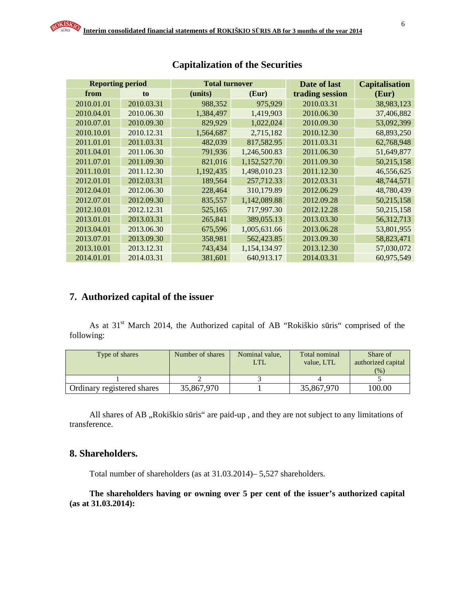| <b>Reporting period</b> |            | <b>Total turnover</b> |              | Date of last    | <b>Capitalisation</b> |
|-------------------------|------------|-----------------------|--------------|-----------------|-----------------------|
| from                    | to         | (units)               | (Eur)        | trading session | (Eur)                 |
| 2010.01.01              | 2010.03.31 | 988,352               | 975,929      | 2010.03.31      | 38,983,123            |
| 2010.04.01              | 2010.06.30 | 1,384,497             | 1,419,903    | 2010.06.30      | 37,406,882            |
| 2010.07.01              | 2010.09.30 | 829,929               | 1,022,024    | 2010.09.30      | 53,092,399            |
| 2010.10.01              | 2010.12.31 | 1,564,687             | 2,715,182    | 2010.12.30      | 68,893,250            |
| 2011.01.01              | 2011.03.31 | 482,039               | 817,582.95   | 2011.03.31      | 62,768,948            |
| 2011.04.01              | 2011.06.30 | 791,936               | 1,246,500.83 | 2011.06.30      | 51,649,877            |
| 2011.07.01              | 2011.09.30 | 821,016               | 1,152,527.70 | 2011.09.30      | 50,215,158            |
| 2011.10.01              | 2011.12.30 | 1,192,435             | 1,498,010.23 | 2011.12.30      | 46,556,625            |
| 2012.01.01              | 2012.03.31 | 189,564               | 257,712.33   | 2012.03.31      | 48,744,571            |
| 2012.04.01              | 2012.06.30 | 228,464               | 310,179.89   | 2012.06.29      | 48,780,439            |
| 2012.07.01              | 2012.09.30 | 835,557               | 1,142,089.88 | 2012.09.28      | 50,215,158            |
| 2012.10.01              | 2012.12.31 | 525,165               | 717,997.30   | 2012.12.28      | 50,215,158            |
| 2013.01.01              | 2013.03.31 | 265,841               | 389,055.13   | 2013.03.30      | 56,312,713            |
| 2013.04.01              | 2013.06.30 | 675,596               | 1,005,631.66 | 2013.06.28      | 53,801,955            |
| 2013.07.01              | 2013.09.30 | 358,981               | 562,423.85   | 2013.09.30      | 58,823,471            |
| 2013.10.01              | 2013.12.31 | 743,434               | 1,154,134.97 | 2013.12.30      | 57,030,072            |
| 2014.01.01              | 2014.03.31 | 381,601               | 640,913.17   | 2014.03.31      | 60,975,549            |

# **Capitalization of the Securities**

# **7. Authorized capital of the issuer**

As at 31<sup>st</sup> March 2014, the Authorized capital of AB "Rokiškio sūris" comprised of the following:

| Type of shares             | Number of shares | Nominal value,<br><b>LTL</b> | Total nominal<br>value. LTL | Share of<br>authorized capital<br>(% ) |
|----------------------------|------------------|------------------------------|-----------------------------|----------------------------------------|
|                            |                  |                              |                             |                                        |
| Ordinary registered shares | 35,867,970       |                              | 35,867,970                  | 100.00                                 |

All shares of AB "Rokiškio sūris" are paid-up, and they are not subject to any limitations of transference.

# **8. Shareholders.**

Total number of shareholders (as at 31.03.2014)– 5,527 shareholders.

**The shareholders having or owning over 5 per cent of the issuer's authorized capital (as at 31.03.2014):**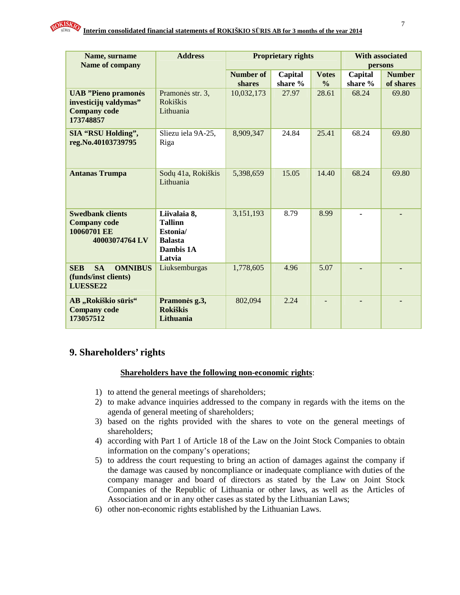

| Name, surname                                                                           | <b>Address</b>                                                                      |                  | <b>Proprietary rights</b> |               | <b>With associated</b> |               |
|-----------------------------------------------------------------------------------------|-------------------------------------------------------------------------------------|------------------|---------------------------|---------------|------------------------|---------------|
| Name of company                                                                         |                                                                                     |                  |                           |               |                        | persons       |
|                                                                                         |                                                                                     | <b>Number of</b> | Capital                   | <b>Votes</b>  | Capital                | <b>Number</b> |
|                                                                                         |                                                                                     | shares           | share %                   | $\frac{0}{0}$ | share %                | of shares     |
| <b>UAB</b> "Pieno pramonės<br>investicijų valdymas"<br><b>Company code</b><br>173748857 | Pramonės str. 3,<br><b>Rokiškis</b><br>Lithuania                                    | 10,032,173       | 27.97                     | 28.61         | 68.24                  | 69.80         |
| <b>SIA "RSU Holding",</b><br>reg.No.40103739795                                         | Sliezu iela 9A-25,<br>Riga                                                          | 8,909,347        | 24.84                     | 25.41         | 68.24                  | 69.80         |
| <b>Antanas Trumpa</b>                                                                   | Sodų 41a, Rokiškis<br>Lithuania                                                     | 5,398,659        | 15.05                     | 14.40         | 68.24                  | 69.80         |
| <b>Swedbank clients</b><br><b>Company code</b><br>10060701 EE<br>40003074764 LV         | Liivalaia 8,<br><b>Tallinn</b><br>Estonia/<br><b>Balasta</b><br>Dambis 1A<br>Latvia | 3,151,193        | 8.79                      | 8.99          |                        |               |
| <b>SA</b><br><b>SEB</b><br><b>OMNIBUS</b><br>(funds/inst clients)<br>LUESSE22           | Liuksemburgas                                                                       | 1,778,605        | 4.96                      | 5.07          |                        |               |
| AB "Rokiškio sūris"<br><b>Company code</b><br>173057512                                 | Pramonės g.3,<br><b>Rokiškis</b><br>Lithuania                                       | 802,094          | 2.24                      |               |                        |               |

# **9. Shareholders' rights**

#### **Shareholders have the following non-economic rights**:

- 1) to attend the general meetings of shareholders;
- 2) to make advance inquiries addressed to the company in regards with the items on the agenda of general meeting of shareholders;
- 3) based on the rights provided with the shares to vote on the general meetings of shareholders;
- 4) according with Part 1 of Article 18 of the Law on the Joint Stock Companies to obtain information on the company's operations;
- 5) to address the court requesting to bring an action of damages against the company if the damage was caused by noncompliance or inadequate compliance with duties of the company manager and board of directors as stated by the Law on Joint Stock Companies of the Republic of Lithuania or other laws, as well as the Articles of Association and or in any other cases as stated by the Lithuanian Laws;
- 6) other non-economic rights established by the Lithuanian Laws.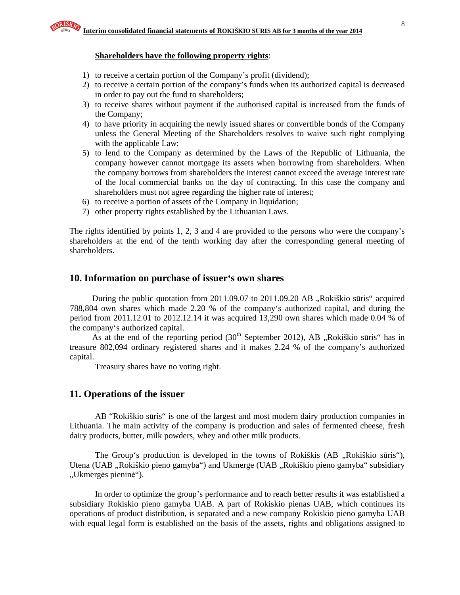#### **Shareholders have the following property rights**:

- 1) to receive a certain portion of the Company's profit (dividend);
- 2) to receive a certain portion of the company's funds when its authorized capital is decreased in order to pay out the fund to shareholders;
- 3) to receive shares without payment if the authorised capital is increased from the funds of the Company;
- 4) to have priority in acquiring the newly issued shares or convertible bonds of the Company unless the General Meeting of the Shareholders resolves to waive such right complying with the applicable Law;
- 5) to lend to the Company as determined by the Laws of the Republic of Lithuania, the company however cannot mortgage its assets when borrowing from shareholders. When the company borrows from shareholders the interest cannot exceed the average interest rate of the local commercial banks on the day of contracting. In this case the company and shareholders must not agree regarding the higher rate of interest;
- 6) to receive a portion of assets of the Company in liquidation;
- 7) other property rights established by the Lithuanian Laws.

The rights identified by points 1, 2, 3 and 4 are provided to the persons who were the company's shareholders at the end of the tenth working day after the corresponding general meeting of shareholders.

# **10. Information on purchase of issuer's own shares**

During the public quotation from  $2011.09.07$  to  $2011.09.20$  AB  $,$ Rokiškio sūris" acquired 788,804 own shares which made 2.20 % of the company's authorized capital, and during the period from 2011.12.01 to 2012.12.14 it was acquired 13,290 own shares which made 0.04 % of the company's authorized capital.

As at the end of the reporting period  $(30<sup>th</sup>$  September 2012), AB "Rokiškio sūris" has in treasure 802,094 ordinary registered shares and it makes 2.24 % of the company's authorized capital.

Treasury shares have no voting right.

# **11. Operations of the issuer**

AB "Rokiškio sūris" is one of the largest and most modern dairy production companies in Lithuania. The main activity of the company is production and sales of fermented cheese, fresh dairy products, butter, milk powders, whey and other milk products.

The Group's production is developed in the towns of Rokiškis (AB , Rokiškio sūris"), Utena (UAB "Rokiškio pieno gamyba") and Ukmerge (UAB "Rokiškio pieno gamyba" subsidiary "Ukmergės pieninė").

In order to optimize the group's performance and to reach better results it was established a subsidiary Rokiskio pieno gamyba UAB. A part of Rokiskio pienas UAB, which continues its operations of product distribution, is separated and a new company Rokiskio pieno gamyba UAB with equal legal form is established on the basis of the assets, rights and obligations assigned to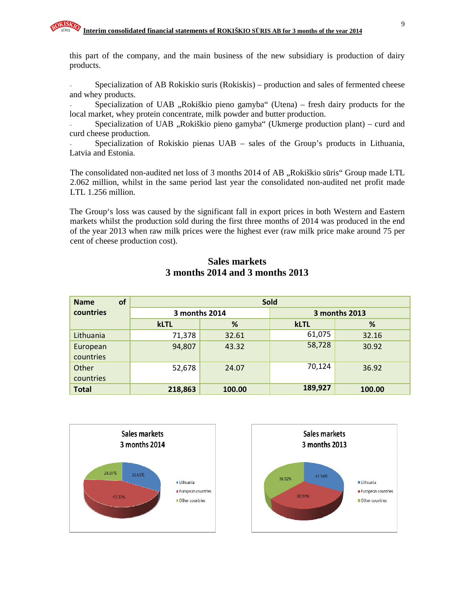this part of the company, and the main business of the new subsidiary is production of dairy products.

- Specialization of AB Rokiskio suris (Rokiskis) – production and sales of fermented cheese and whey products.

Specialization of UAB  $\alpha$ Rokiškio pieno gamyba" (Utena) – fresh dairy products for the local market, whey protein concentrate, milk powder and butter production.

- Specialization of UAB "Rokiškio pieno gamyba" (Ukmerge production plant) – curd and curd cheese production.

Specialization of Rokiskio pienas UAB – sales of the Group's products in Lithuania, Latvia and Estonia.

The consolidated non-audited net loss of 3 months 2014 of AB "Rokiškio sūris" Group made LTL 2.062 million, whilst in the same period last year the consolidated non-audited net profit made LTL 1.256 million.

The Group's loss was caused by the significant fall in export prices in both Western and Eastern markets whilst the production sold during the first three months of 2014 was produced in the end of the year 2013 when raw milk prices were the highest ever (raw milk price make around 75 per cent of cheese production cost).

# **Sales markets 3 months 2014 and 3 months 2013**

| of<br><b>Name</b> | <b>Sold</b> |               |             |               |  |  |  |  |
|-------------------|-------------|---------------|-------------|---------------|--|--|--|--|
| countries         |             | 3 months 2014 |             | 3 months 2013 |  |  |  |  |
|                   | <b>kLTL</b> | %             | <b>kLTL</b> | %             |  |  |  |  |
| Lithuania         | 71,378      | 32.61         | 61,075      | 32.16         |  |  |  |  |
| European          | 94,807      | 43.32         | 58,728      | 30.92         |  |  |  |  |
| countries         |             |               |             |               |  |  |  |  |
| Other             | 52,678      | 24.07         | 70,124      | 36.92         |  |  |  |  |
| countries         |             |               |             |               |  |  |  |  |
| <b>Total</b>      | 218,863     | 100.00        | 189,927     | 100.00        |  |  |  |  |



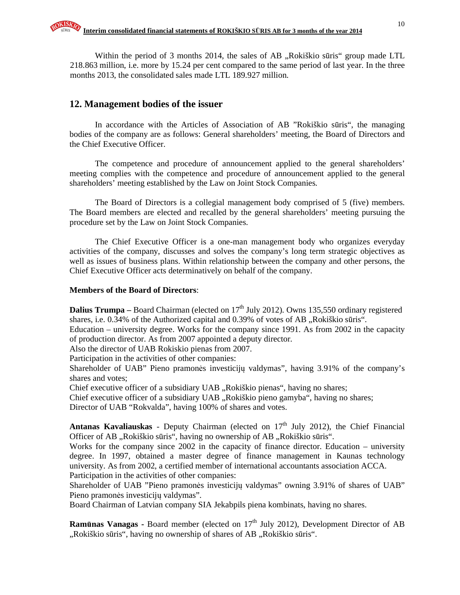Within the period of 3 months 2014, the sales of  $AB$ , Rokiškio sūris" group made LTL 218.863 million, i.e. more by 15.24 per cent compared to the same period of last year. In the three months 2013, the consolidated sales made LTL 189.927 million.

# **12. Management bodies of the issuer**

In accordance with the Articles of Association of AB "Rokiškio sūris", the managing bodies of the company are as follows: General shareholders' meeting, the Board of Directors and the Chief Executive Officer.

The competence and procedure of announcement applied to the general shareholders' meeting complies with the competence and procedure of announcement applied to the general shareholders' meeting established by the Law on Joint Stock Companies.

The Board of Directors is a collegial management body comprised of 5 (five) members. The Board members are elected and recalled by the general shareholders' meeting pursuing the procedure set by the Law on Joint Stock Companies.

The Chief Executive Officer is a one-man management body who organizes everyday activities of the company, discusses and solves the company's long term strategic objectives as well as issues of business plans. Within relationship between the company and other persons, the Chief Executive Officer acts determinatively on behalf of the company.

#### **Members of the Board of Directors**:

**Dalius Trumpa** – Board Chairman (elected on  $17<sup>th</sup>$  July 2012). Owns 135,550 ordinary registered shares, i.e. 0.34% of the Authorized capital and 0.39% of votes of AB "Rokiškio sūris".

Education – university degree. Works for the company since 1991. As from 2002 in the capacity of production director. As from 2007 appointed a deputy director.

Also the director of UAB Rokiskio pienas from 2007.

Participation in the activities of other companies:

Shareholder of UAB" Pieno pramonės investicijų valdymas", having 3.91% of the company's shares and votes;

Chief executive officer of a subsidiary UAB "Rokiškio pienas", having no shares;

Chief executive officer of a subsidiary UAB "Rokiškio pieno gamyba", having no shares;

Director of UAB "Rokvalda", having 100% of shares and votes.

Antanas Kavaliauskas - Deputy Chairman (elected on 17<sup>th</sup> July 2012), the Chief Financial Officer of AB "Rokiškio sūris", having no ownership of AB "Rokiškio sūris".

Works for the company since 2002 in the capacity of finance director. Education – university degree. In 1997, obtained a master degree of finance management in Kaunas technology university. As from 2002, a certified member of international accountants association ACCA. Participation in the activities of other companies:

Shareholder of UAB "Pieno pramonės investicijų valdymas" owning 3.91% of shares of UAB" Pieno pramonės investicijų valdymas".

Board Chairman of Latvian company SIA Jekabpils piena kombinats, having no shares.

**Ramūnas Vanagas -** Board member (elected on 17<sup>th</sup> July 2012), Development Director of AB ",Rokiškio sūris", having no ownership of shares of AB "Rokiškio sūris".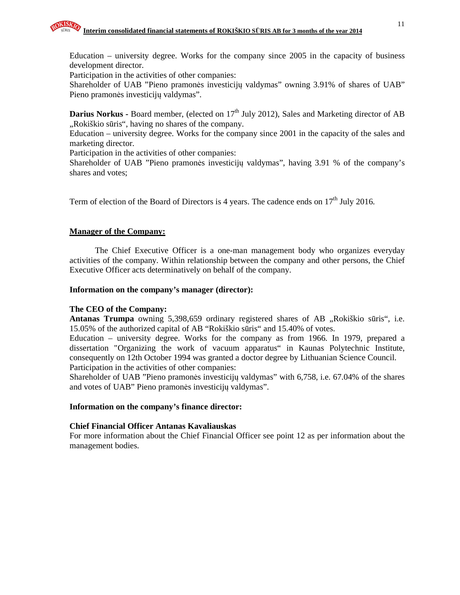Participation in the activities of other companies:

Shareholder of UAB "Pieno pramonės investicijų valdymas" owning 3.91% of shares of UAB" Pieno pramonės investicijų valdymas".

**Darius Norkus - Board member, (elected on 17<sup>th</sup> July 2012), Sales and Marketing director of AB** "Rokiškio sūris", having no shares of the company.

Education – university degree. Works for the company since 2001 in the capacity of the sales and marketing director.

Participation in the activities of other companies:

Shareholder of UAB "Pieno pramonės investicijų valdymas", having 3.91 % of the company's shares and votes;

Term of election of the Board of Directors is 4 years. The cadence ends on  $17<sup>th</sup>$  July 2016.

## **Manager of the Company:**

The Chief Executive Officer is a one-man management body who organizes everyday activities of the company. Within relationship between the company and other persons, the Chief Executive Officer acts determinatively on behalf of the company.

#### **Information on the company's manager (director):**

#### **The CEO of the Company:**

Antanas Trumpa owning 5,398,659 ordinary registered shares of AB "Rokiškio sūris", i.e. 15.05% of the authorized capital of AB "Rokiškio sūris" and 15.40% of votes.

Education – university degree. Works for the company as from 1966. In 1979, prepared a dissertation "Organizing the work of vacuum apparatus" in Kaunas Polytechnic Institute, consequently on 12th October 1994 was granted a doctor degree by Lithuanian Science Council. Participation in the activities of other companies:

Shareholder of UAB "Pieno pramonės investicijų valdymas" with 6,758, i.e. 67.04% of the shares and votes of UAB" Pieno pramonės investicijų valdymas".

#### **Information on the company's finance director:**

#### **Chief Financial Officer Antanas Kavaliauskas**

For more information about the Chief Financial Officer see point 12 as per information about the management bodies.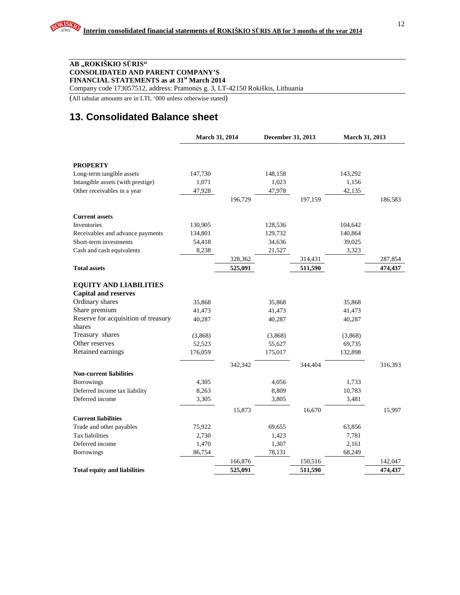#### **AB "ROKIŠKIO S**Ū**RIS" CONSOLIDATED AND PARENT COMPANY'S FINANCIAL STATEMENTS as at 31st March 2014**

Company code 173057512, address: Pramonės g. 3, LT-42150 Rokiškis, Lithuania

(All tabular amounts are in LTL '000 unless otherwise stated)

# **13. Consolidated Balance sheet**

|                                                | March 31, 2014 |         | December 31, 2013 |         | March 31, 2013 |         |
|------------------------------------------------|----------------|---------|-------------------|---------|----------------|---------|
|                                                |                |         |                   |         |                |         |
| <b>PROPERTY</b>                                |                |         |                   |         |                |         |
| Long-term tangible assets                      | 147,730        |         | 148,158           |         | 143,292        |         |
| Intangible assets (with prestige)              | 1,071          |         | 1,023             |         | 1,156          |         |
| Other receivables in a year                    | 47,928         |         | 47,978            |         | 42,135         |         |
|                                                |                | 196,729 |                   | 197,159 |                | 186,583 |
| <b>Current assets</b>                          |                |         |                   |         |                |         |
| Inventories                                    | 130,905        |         | 128,536           |         | 104,642        |         |
| Receivables and advance payments               | 134,801        |         | 129,732           |         | 140,864        |         |
| Short-term investments                         | 54,418         |         | 34,636            |         | 39,025         |         |
| Cash and cash equivalents                      | 8,238          |         | 21,527            |         | 3,323          |         |
|                                                |                | 328,362 |                   | 314,431 |                | 287,854 |
| <b>Total assets</b>                            |                | 525,091 |                   | 511,590 |                | 474,437 |
|                                                |                |         |                   |         |                |         |
| <b>EQUITY AND LIABILITIES</b>                  |                |         |                   |         |                |         |
| <b>Capital and reserves</b><br>Ordinary shares |                |         |                   |         |                |         |
| Share premium                                  | 35,868         |         | 35,868            |         | 35,868         |         |
| Reserve for acquisition of treasury            | 41,473         |         | 41,473            |         | 41,473         |         |
| shares                                         | 40,287         |         | 40,287            |         | 40,287         |         |
| Treasury shares                                | (3,868)        |         | (3,868)           |         | (3,868)        |         |
| Other reserves                                 | 52,523         |         | 55,627            |         | 69,735         |         |
| Retained earnings                              | 176,059        |         | 175,017           |         | 132,898        |         |
|                                                |                | 342,342 |                   | 344,404 |                |         |
| <b>Non-current liabilities</b>                 |                |         |                   |         |                | 316,393 |
| <b>Borrowings</b>                              | 4,305          |         | 4,056             |         | 1,733          |         |
| Deferred income tax liability                  | 8,263          |         | 8,809             |         | 10,783         |         |
| Deferred income                                | 3,305          |         | 3,805             |         | 3,481          |         |
|                                                |                | 15,873  |                   | 16,670  |                | 15,997  |
| <b>Current liabilities</b>                     |                |         |                   |         |                |         |
| Trade and other payables                       | 75,922         |         | 69,655            |         | 63,856         |         |
| Tax liabilities                                | 2,730          |         | 1,423             |         | 7,781          |         |
| Deferred income                                | 1,470          |         | 1,307             |         | 2,161          |         |
| <b>Borrowings</b>                              | 86,754         |         | 78,131            |         | 68,249         |         |
|                                                |                | 166,876 |                   | 150,516 |                | 142,047 |
| <b>Total equity and liabilities</b>            |                | 525,091 |                   | 511,590 |                | 474.437 |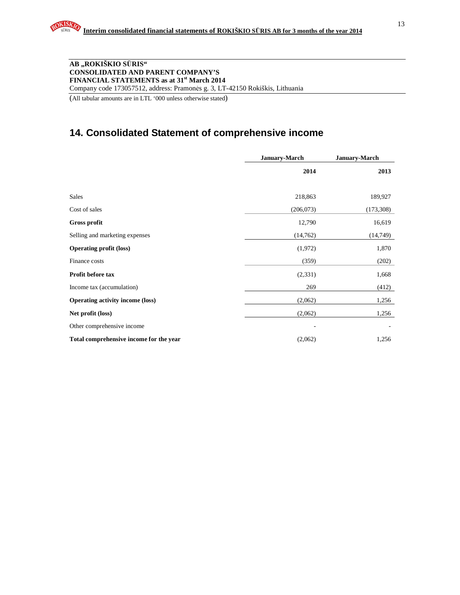#### **AB "ROKIŠKIO S**Ū**RIS" CONSOLIDATED AND PARENT COMPANY'S FINANCIAL STATEMENTS as at 31st March 2014**  Company code 173057512, address: Pramonės g. 3, LT-42150 Rokiškis, Lithuania

(All tabular amounts are in LTL '000 unless otherwise stated)

# **14. Consolidated Statement of comprehensive income**

|                                         | <b>January-March</b> | January-March |
|-----------------------------------------|----------------------|---------------|
|                                         | 2014                 | 2013          |
| Sales                                   | 218,863              | 189,927       |
| Cost of sales                           | (206, 073)           | (173, 308)    |
| Gross profit                            | 12,790               | 16,619        |
| Selling and marketing expenses          | (14,762)             | (14, 749)     |
| <b>Operating profit (loss)</b>          | (1,972)              | 1,870         |
| Finance costs                           | (359)                | (202)         |
| Profit before tax                       | (2,331)              | 1,668         |
| Income tax (accumulation)               | 269                  | (412)         |
| <b>Operating activity income (loss)</b> | (2,062)              | 1,256         |
| Net profit (loss)                       | (2,062)              | 1,256         |
| Other comprehensive income              |                      |               |
| Total comprehensive income for the year | (2,062)              | 1,256         |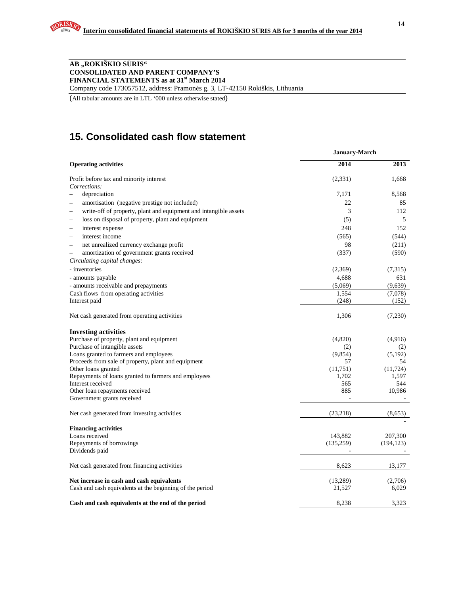#### **AB "ROKIŠKIO S**Ū**RIS" CONSOLIDATED AND PARENT COMPANY'S FINANCIAL STATEMENTS as at 31st March 2014**  Company code 173057512, address: Pramonės g. 3, LT-42150 Rokiškis, Lithuania

(All tabular amounts are in LTL '000 unless otherwise stated)

# **15. Consolidated cash flow statement**

| <b>Operating activities</b><br>Profit before tax and minority interest<br>Corrections:<br>depreciation<br>amortisation (negative prestige not included)<br>write-off of property, plant and equipment and intangible assets<br>loss on disposal of property, plant and equipment<br>interest expense<br>-<br>interest income<br>net unrealized currency exchange profit<br>$\overline{\phantom{0}}$<br>amortization of government grants received<br>$\overline{\phantom{0}}$<br>Circulating capital changes:<br>- inventories<br>- amounts payable<br>- amounts receivable and prepayments<br>Cash flows from operating activities<br>Interest paid<br>Net cash generated from operating activities<br><b>Investing activities</b><br>Purchase of property, plant and equipment<br>Purchase of intangible assets<br>Loans granted to farmers and employees<br>Proceeds from sale of property, plant and equipment<br>Other loans granted<br>Repayments of loans granted to farmers and employees<br>Interest received<br>Other loan repayments received<br>Government grants received<br>Net cash generated from investing activities<br><b>Financing activities</b> | <b>January-March</b> |               |
|-----------------------------------------------------------------------------------------------------------------------------------------------------------------------------------------------------------------------------------------------------------------------------------------------------------------------------------------------------------------------------------------------------------------------------------------------------------------------------------------------------------------------------------------------------------------------------------------------------------------------------------------------------------------------------------------------------------------------------------------------------------------------------------------------------------------------------------------------------------------------------------------------------------------------------------------------------------------------------------------------------------------------------------------------------------------------------------------------------------------------------------------------------------------------|----------------------|---------------|
|                                                                                                                                                                                                                                                                                                                                                                                                                                                                                                                                                                                                                                                                                                                                                                                                                                                                                                                                                                                                                                                                                                                                                                       | 2014                 | 2013          |
|                                                                                                                                                                                                                                                                                                                                                                                                                                                                                                                                                                                                                                                                                                                                                                                                                                                                                                                                                                                                                                                                                                                                                                       | (2,331)              | 1.668         |
|                                                                                                                                                                                                                                                                                                                                                                                                                                                                                                                                                                                                                                                                                                                                                                                                                                                                                                                                                                                                                                                                                                                                                                       |                      |               |
|                                                                                                                                                                                                                                                                                                                                                                                                                                                                                                                                                                                                                                                                                                                                                                                                                                                                                                                                                                                                                                                                                                                                                                       | 7,171                | 8,568         |
|                                                                                                                                                                                                                                                                                                                                                                                                                                                                                                                                                                                                                                                                                                                                                                                                                                                                                                                                                                                                                                                                                                                                                                       | 22                   | 85            |
|                                                                                                                                                                                                                                                                                                                                                                                                                                                                                                                                                                                                                                                                                                                                                                                                                                                                                                                                                                                                                                                                                                                                                                       | 3                    | 112           |
|                                                                                                                                                                                                                                                                                                                                                                                                                                                                                                                                                                                                                                                                                                                                                                                                                                                                                                                                                                                                                                                                                                                                                                       | (5)                  | 5             |
|                                                                                                                                                                                                                                                                                                                                                                                                                                                                                                                                                                                                                                                                                                                                                                                                                                                                                                                                                                                                                                                                                                                                                                       | 248                  | 152           |
|                                                                                                                                                                                                                                                                                                                                                                                                                                                                                                                                                                                                                                                                                                                                                                                                                                                                                                                                                                                                                                                                                                                                                                       | (565)                | (544)         |
|                                                                                                                                                                                                                                                                                                                                                                                                                                                                                                                                                                                                                                                                                                                                                                                                                                                                                                                                                                                                                                                                                                                                                                       | 98                   | (211)         |
|                                                                                                                                                                                                                                                                                                                                                                                                                                                                                                                                                                                                                                                                                                                                                                                                                                                                                                                                                                                                                                                                                                                                                                       | (337)                | (590)         |
|                                                                                                                                                                                                                                                                                                                                                                                                                                                                                                                                                                                                                                                                                                                                                                                                                                                                                                                                                                                                                                                                                                                                                                       |                      |               |
|                                                                                                                                                                                                                                                                                                                                                                                                                                                                                                                                                                                                                                                                                                                                                                                                                                                                                                                                                                                                                                                                                                                                                                       | (2,369)              | (7,315)       |
|                                                                                                                                                                                                                                                                                                                                                                                                                                                                                                                                                                                                                                                                                                                                                                                                                                                                                                                                                                                                                                                                                                                                                                       | 4,688                | 631           |
|                                                                                                                                                                                                                                                                                                                                                                                                                                                                                                                                                                                                                                                                                                                                                                                                                                                                                                                                                                                                                                                                                                                                                                       | (5,069)              | (9,639)       |
|                                                                                                                                                                                                                                                                                                                                                                                                                                                                                                                                                                                                                                                                                                                                                                                                                                                                                                                                                                                                                                                                                                                                                                       | 1,554                | (7,078)       |
|                                                                                                                                                                                                                                                                                                                                                                                                                                                                                                                                                                                                                                                                                                                                                                                                                                                                                                                                                                                                                                                                                                                                                                       | (248)                | (152)         |
|                                                                                                                                                                                                                                                                                                                                                                                                                                                                                                                                                                                                                                                                                                                                                                                                                                                                                                                                                                                                                                                                                                                                                                       |                      |               |
|                                                                                                                                                                                                                                                                                                                                                                                                                                                                                                                                                                                                                                                                                                                                                                                                                                                                                                                                                                                                                                                                                                                                                                       | 1,306                | (7,230)       |
|                                                                                                                                                                                                                                                                                                                                                                                                                                                                                                                                                                                                                                                                                                                                                                                                                                                                                                                                                                                                                                                                                                                                                                       |                      |               |
|                                                                                                                                                                                                                                                                                                                                                                                                                                                                                                                                                                                                                                                                                                                                                                                                                                                                                                                                                                                                                                                                                                                                                                       | (4,820)              | (4,916)       |
|                                                                                                                                                                                                                                                                                                                                                                                                                                                                                                                                                                                                                                                                                                                                                                                                                                                                                                                                                                                                                                                                                                                                                                       | (2)                  | (2)           |
|                                                                                                                                                                                                                                                                                                                                                                                                                                                                                                                                                                                                                                                                                                                                                                                                                                                                                                                                                                                                                                                                                                                                                                       | (9,854)              | (5,192)       |
|                                                                                                                                                                                                                                                                                                                                                                                                                                                                                                                                                                                                                                                                                                                                                                                                                                                                                                                                                                                                                                                                                                                                                                       | 57                   | 54            |
|                                                                                                                                                                                                                                                                                                                                                                                                                                                                                                                                                                                                                                                                                                                                                                                                                                                                                                                                                                                                                                                                                                                                                                       | (11,751)             | (11, 724)     |
|                                                                                                                                                                                                                                                                                                                                                                                                                                                                                                                                                                                                                                                                                                                                                                                                                                                                                                                                                                                                                                                                                                                                                                       | 1,702                | 1,597         |
|                                                                                                                                                                                                                                                                                                                                                                                                                                                                                                                                                                                                                                                                                                                                                                                                                                                                                                                                                                                                                                                                                                                                                                       | 565<br>885           | 544<br>10,986 |
|                                                                                                                                                                                                                                                                                                                                                                                                                                                                                                                                                                                                                                                                                                                                                                                                                                                                                                                                                                                                                                                                                                                                                                       |                      |               |
|                                                                                                                                                                                                                                                                                                                                                                                                                                                                                                                                                                                                                                                                                                                                                                                                                                                                                                                                                                                                                                                                                                                                                                       | (23,218)             | (8,653)       |
|                                                                                                                                                                                                                                                                                                                                                                                                                                                                                                                                                                                                                                                                                                                                                                                                                                                                                                                                                                                                                                                                                                                                                                       |                      |               |
| Loans received                                                                                                                                                                                                                                                                                                                                                                                                                                                                                                                                                                                                                                                                                                                                                                                                                                                                                                                                                                                                                                                                                                                                                        | 143,882              | 207,300       |
| Repayments of borrowings                                                                                                                                                                                                                                                                                                                                                                                                                                                                                                                                                                                                                                                                                                                                                                                                                                                                                                                                                                                                                                                                                                                                              | (135, 259)           | (194, 123)    |
| Dividends paid                                                                                                                                                                                                                                                                                                                                                                                                                                                                                                                                                                                                                                                                                                                                                                                                                                                                                                                                                                                                                                                                                                                                                        |                      |               |
| Net cash generated from financing activities                                                                                                                                                                                                                                                                                                                                                                                                                                                                                                                                                                                                                                                                                                                                                                                                                                                                                                                                                                                                                                                                                                                          | 8,623                | 13,177        |
| Net increase in cash and cash equivalents                                                                                                                                                                                                                                                                                                                                                                                                                                                                                                                                                                                                                                                                                                                                                                                                                                                                                                                                                                                                                                                                                                                             | (13,289)             | (2,706)       |
| Cash and cash equivalents at the beginning of the period                                                                                                                                                                                                                                                                                                                                                                                                                                                                                                                                                                                                                                                                                                                                                                                                                                                                                                                                                                                                                                                                                                              | 21,527               | 6,029         |
| Cash and cash equivalents at the end of the period                                                                                                                                                                                                                                                                                                                                                                                                                                                                                                                                                                                                                                                                                                                                                                                                                                                                                                                                                                                                                                                                                                                    | 8,238                | 3,323         |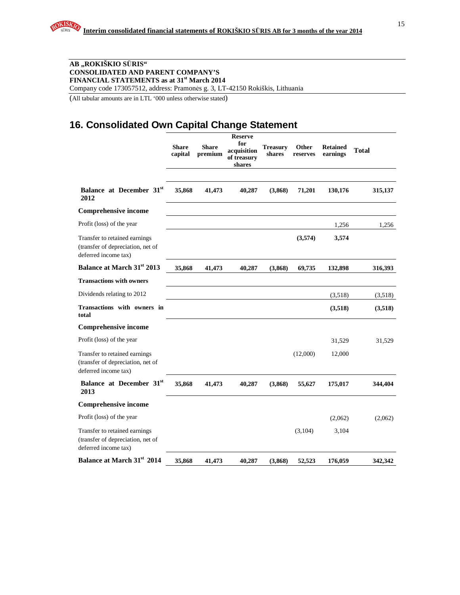Company code 173057512, address: Pramonės g. 3, LT-42150 Rokiškis, Lithuania

(All tabular amounts are in LTL '000 unless otherwise stated)

# **16. Consolidated Own Capital Change Statement**

|                                                                                            | <b>Share</b><br>capital | <b>Share</b><br>premium | <b>Reserve</b><br>for<br>acquisition<br>of treasury<br>shares | <b>Treasury</b><br>shares | Other<br>reserves | <b>Retained</b><br>earnings | <b>Total</b> |
|--------------------------------------------------------------------------------------------|-------------------------|-------------------------|---------------------------------------------------------------|---------------------------|-------------------|-----------------------------|--------------|
| Balance at December 31 <sup>st</sup><br>2012                                               | 35,868                  | 41,473                  | 40,287                                                        | (3,868)                   | 71,201            | 130,176                     | 315,137      |
| <b>Comprehensive income</b>                                                                |                         |                         |                                                               |                           |                   |                             |              |
| Profit (loss) of the year                                                                  |                         |                         |                                                               |                           |                   | 1,256                       | 1,256        |
| Transfer to retained earnings<br>(transfer of depreciation, net of<br>deferred income tax) |                         |                         |                                                               |                           | (3,574)           | 3,574                       |              |
| Balance at March 31st 2013                                                                 | 35,868                  | 41,473                  | 40,287                                                        | (3,868)                   | 69,735            | 132,898                     | 316,393      |
| <b>Transactions with owners</b>                                                            |                         |                         |                                                               |                           |                   |                             |              |
| Dividends relating to 2012                                                                 |                         |                         |                                                               |                           |                   | (3,518)                     | (3,518)      |
| Transactions with owners in<br>total                                                       |                         |                         |                                                               |                           |                   | (3,518)                     | (3,518)      |
| <b>Comprehensive income</b>                                                                |                         |                         |                                                               |                           |                   |                             |              |
| Profit (loss) of the year                                                                  |                         |                         |                                                               |                           |                   | 31,529                      | 31,529       |
| Transfer to retained earnings<br>(transfer of depreciation, net of<br>deferred income tax) |                         |                         |                                                               |                           | (12,000)          | 12,000                      |              |
| Balance at December 31st<br>2013                                                           | 35,868                  | 41,473                  | 40,287                                                        | (3,868)                   | 55,627            | 175,017                     | 344,404      |
| <b>Comprehensive income</b>                                                                |                         |                         |                                                               |                           |                   |                             |              |
| Profit (loss) of the year                                                                  |                         |                         |                                                               |                           |                   | (2,062)                     | (2,062)      |
| Transfer to retained earnings<br>(transfer of depreciation, net of<br>deferred income tax) |                         |                         |                                                               |                           | (3,104)           | 3,104                       |              |
| Balance at March 31st 2014                                                                 | 35,868                  | 41,473                  | 40,287                                                        | (3,868)                   | 52,523            | 176,059                     | 342,342      |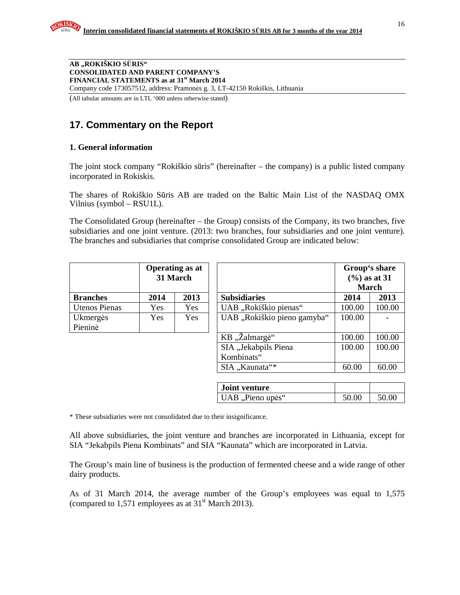**AB "ROKIŠKIO S**Ū**RIS" CONSOLIDATED AND PARENT COMPANY'S FINANCIAL STATEMENTS as at 31st March 2014**  Company code 173057512, address: Pramonės g. 3, LT-42150 Rokiškis, Lithuania

(All tabular amounts are in LTL '000 unless otherwise stated)

# **17. Commentary on the Report**

# **1. General information**

The joint stock company "Rokiškio sūris" (hereinafter – the company) is a public listed company incorporated in Rokiskis.

The shares of Rokiškio Sūris AB are traded on the Baltic Main List of the NASDAQ OMX Vilnius (symbol – RSU1L).

The Consolidated Group (hereinafter – the Group) consists of the Company, its two branches, five subsidiaries and one joint venture. (2013: two branches, four subsidiaries and one joint venture). The branches and subsidiaries that comprise consolidated Group are indicated below:

|                 | <b>Operating as at</b><br>31 March |      |  |  |
|-----------------|------------------------------------|------|--|--|
| <b>Branches</b> | 2014                               | 2013 |  |  |
| Utenos Pienas   | Yes                                | Yes  |  |  |
| Ukmergės        | Yes                                | Yes  |  |  |
| Pieninė         |                                    |      |  |  |

|                      |            | <b>Operating as at</b><br>31 March |                                    | Group's share<br>$(\frac{6}{6})$ as at 31<br><b>March</b> |        |  |
|----------------------|------------|------------------------------------|------------------------------------|-----------------------------------------------------------|--------|--|
| <b>Branches</b>      | 2014       | 2013                               | <b>Subsidiaries</b>                | 2014                                                      | 2013   |  |
| <b>Utenos Pienas</b> | Yes        | <b>Yes</b>                         | UAB "Rokiškio pienas"              | 100.00                                                    | 100.00 |  |
| Ukmergės<br>Pieninė  | <b>Yes</b> | <b>Yes</b>                         | UAB "Rokiškio pieno gamyba"        | 100.00                                                    |        |  |
|                      |            |                                    | KB "Žalmargė"                      | 100.00                                                    | 100.00 |  |
|                      |            |                                    | SIA "Jekabpils Piena<br>Kombinats" | 100.00                                                    | 100.00 |  |
|                      |            |                                    | SIA "Kaunata"*                     | 60.00                                                     | 60.00  |  |

| <b>Joint venture</b>  |       |       |
|-----------------------|-------|-------|
| $  UAB, P$ ieno upės" | 50.00 | 50.00 |

\* These subsidiaries were not consolidated due to their insignificance.

All above subsidiaries, the joint venture and branches are incorporated in Lithuania, except for SIA "Jekabpils Piena Kombinats" and SIA "Kaunata" which are incorporated in Latvia.

The Group's main line of business is the production of fermented cheese and a wide range of other dairy products.

As of 31 March 2014, the average number of the Group's employees was equal to 1,575 (compared to 1,571 employees as at  $31<sup>st</sup>$  March 2013).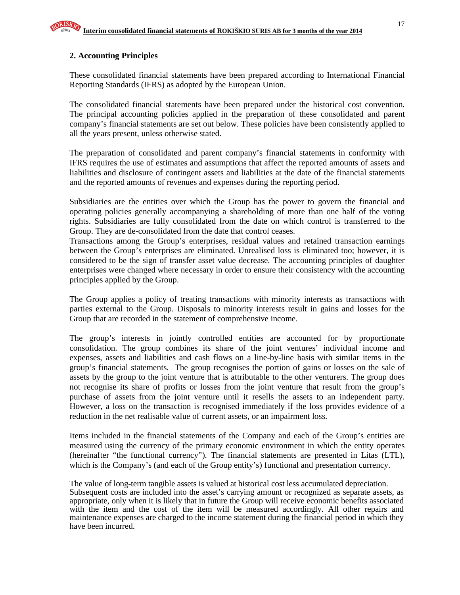# **2. Accounting Principles**

These consolidated financial statements have been prepared according to International Financial Reporting Standards (IFRS) as adopted by the European Union.

The consolidated financial statements have been prepared under the historical cost convention. The principal accounting policies applied in the preparation of these consolidated and parent company's financial statements are set out below. These policies have been consistently applied to all the years present, unless otherwise stated.

The preparation of consolidated and parent company's financial statements in conformity with IFRS requires the use of estimates and assumptions that affect the reported amounts of assets and liabilities and disclosure of contingent assets and liabilities at the date of the financial statements and the reported amounts of revenues and expenses during the reporting period.

Subsidiaries are the entities over which the Group has the power to govern the financial and operating policies generally accompanying a shareholding of more than one half of the voting rights. Subsidiaries are fully consolidated from the date on which control is transferred to the Group. They are de-consolidated from the date that control ceases.

Transactions among the Group's enterprises, residual values and retained transaction earnings between the Group's enterprises are eliminated. Unrealised loss is eliminated too; however, it is considered to be the sign of transfer asset value decrease. The accounting principles of daughter enterprises were changed where necessary in order to ensure their consistency with the accounting principles applied by the Group.

The Group applies a policy of treating transactions with minority interests as transactions with parties external to the Group. Disposals to minority interests result in gains and losses for the Group that are recorded in the statement of comprehensive income.

The group's interests in jointly controlled entities are accounted for by proportionate consolidation. The group combines its share of the joint ventures' individual income and expenses, assets and liabilities and cash flows on a line-by-line basis with similar items in the group's financial statements. The group recognises the portion of gains or losses on the sale of assets by the group to the joint venture that is attributable to the other venturers. The group does not recognise its share of profits or losses from the joint venture that result from the group's purchase of assets from the joint venture until it resells the assets to an independent party. However, a loss on the transaction is recognised immediately if the loss provides evidence of a reduction in the net realisable value of current assets, or an impairment loss.

Items included in the financial statements of the Company and each of the Group's entities are measured using the currency of the primary economic environment in which the entity operates (hereinafter "the functional currency"). The financial statements are presented in Litas (LTL), which is the Company's (and each of the Group entity's) functional and presentation currency.

The value of long-term tangible assets is valued at historical cost less accumulated depreciation. Subsequent costs are included into the asset's carrying amount or recognized as separate assets, as appropriate, only when it is likely that in future the Group will receive economic benefits associated with the item and the cost of the item will be measured accordingly. All other repairs and maintenance expenses are charged to the income statement during the financial period in which they have been incurred.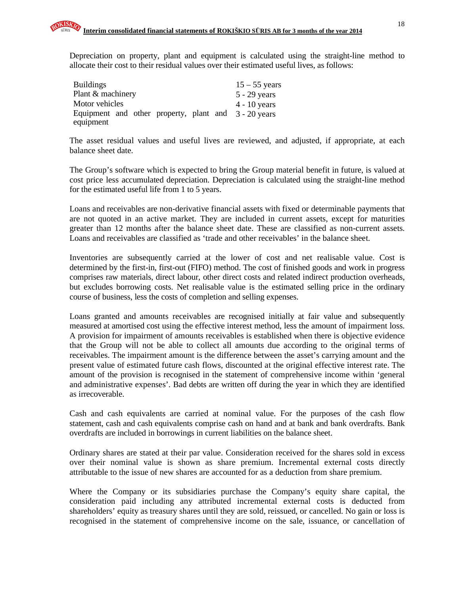Depreciation on property, plant and equipment is calculated using the straight-line method to allocate their cost to their residual values over their estimated useful lives, as follows:

| <b>Buildings</b>                                     | $15 - 55$ years |
|------------------------------------------------------|-----------------|
| Plant & machinery                                    | $5 - 29$ years  |
| Motor vehicles                                       | $4 - 10$ years  |
| Equipment and other property, plant and 3 - 20 years |                 |
| equipment                                            |                 |

The asset residual values and useful lives are reviewed, and adjusted, if appropriate, at each balance sheet date.

The Group's software which is expected to bring the Group material benefit in future, is valued at cost price less accumulated depreciation. Depreciation is calculated using the straight-line method for the estimated useful life from 1 to 5 years.

Loans and receivables are non-derivative financial assets with fixed or determinable payments that are not quoted in an active market. They are included in current assets, except for maturities greater than 12 months after the balance sheet date. These are classified as non-current assets. Loans and receivables are classified as 'trade and other receivables' in the balance sheet.

Inventories are subsequently carried at the lower of cost and net realisable value. Cost is determined by the first-in, first-out (FIFO) method. The cost of finished goods and work in progress comprises raw materials, direct labour, other direct costs and related indirect production overheads, but excludes borrowing costs. Net realisable value is the estimated selling price in the ordinary course of business, less the costs of completion and selling expenses.

Loans granted and amounts receivables are recognised initially at fair value and subsequently measured at amortised cost using the effective interest method, less the amount of impairment loss. A provision for impairment of amounts receivables is established when there is objective evidence that the Group will not be able to collect all amounts due according to the original terms of receivables. The impairment amount is the difference between the asset's carrying amount and the present value of estimated future cash flows, discounted at the original effective interest rate. The amount of the provision is recognised in the statement of comprehensive income within 'general and administrative expenses'. Bad debts are written off during the year in which they are identified as irrecoverable.

Cash and cash equivalents are carried at nominal value. For the purposes of the cash flow statement, cash and cash equivalents comprise cash on hand and at bank and bank overdrafts. Bank overdrafts are included in borrowings in current liabilities on the balance sheet.

Ordinary shares are stated at their par value. Consideration received for the shares sold in excess over their nominal value is shown as share premium. Incremental external costs directly attributable to the issue of new shares are accounted for as a deduction from share premium.

Where the Company or its subsidiaries purchase the Company's equity share capital, the consideration paid including any attributed incremental external costs is deducted from shareholders' equity as treasury shares until they are sold, reissued, or cancelled. No gain or loss is recognised in the statement of comprehensive income on the sale, issuance, or cancellation of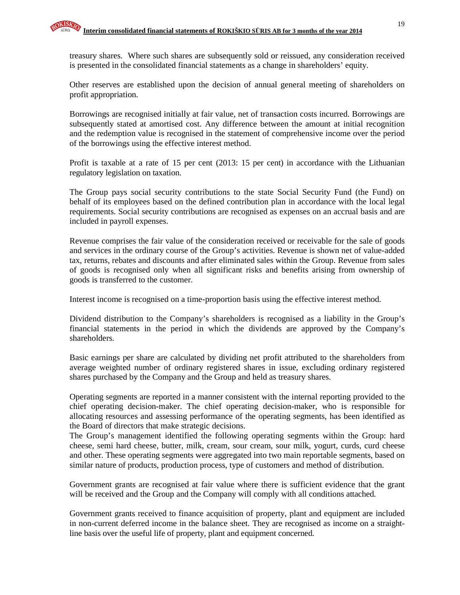treasury shares. Where such shares are subsequently sold or reissued, any consideration received is presented in the consolidated financial statements as a change in shareholders' equity.

Other reserves are established upon the decision of annual general meeting of shareholders on profit appropriation.

Borrowings are recognised initially at fair value, net of transaction costs incurred. Borrowings are subsequently stated at amortised cost. Any difference between the amount at initial recognition and the redemption value is recognised in the statement of comprehensive income over the period of the borrowings using the effective interest method.

Profit is taxable at a rate of 15 per cent (2013: 15 per cent) in accordance with the Lithuanian regulatory legislation on taxation.

The Group pays social security contributions to the state Social Security Fund (the Fund) on behalf of its employees based on the defined contribution plan in accordance with the local legal requirements. Social security contributions are recognised as expenses on an accrual basis and are included in payroll expenses.

Revenue comprises the fair value of the consideration received or receivable for the sale of goods and services in the ordinary course of the Group's activities. Revenue is shown net of value-added tax, returns, rebates and discounts and after eliminated sales within the Group. Revenue from sales of goods is recognised only when all significant risks and benefits arising from ownership of goods is transferred to the customer.

Interest income is recognised on a time-proportion basis using the effective interest method.

Dividend distribution to the Company's shareholders is recognised as a liability in the Group's financial statements in the period in which the dividends are approved by the Company's shareholders.

Basic earnings per share are calculated by dividing net profit attributed to the shareholders from average weighted number of ordinary registered shares in issue, excluding ordinary registered shares purchased by the Company and the Group and held as treasury shares.

Operating segments are reported in a manner consistent with the internal reporting provided to the chief operating decision-maker. The chief operating decision-maker, who is responsible for allocating resources and assessing performance of the operating segments, has been identified as the Board of directors that make strategic decisions.

The Group's management identified the following operating segments within the Group: hard cheese, semi hard cheese, butter, milk, cream, sour cream, sour milk, yogurt, curds, curd cheese and other. These operating segments were aggregated into two main reportable segments, based on similar nature of products, production process, type of customers and method of distribution.

Government grants are recognised at fair value where there is sufficient evidence that the grant will be received and the Group and the Company will comply with all conditions attached.

Government grants received to finance acquisition of property, plant and equipment are included in non-current deferred income in the balance sheet. They are recognised as income on a straightline basis over the useful life of property, plant and equipment concerned.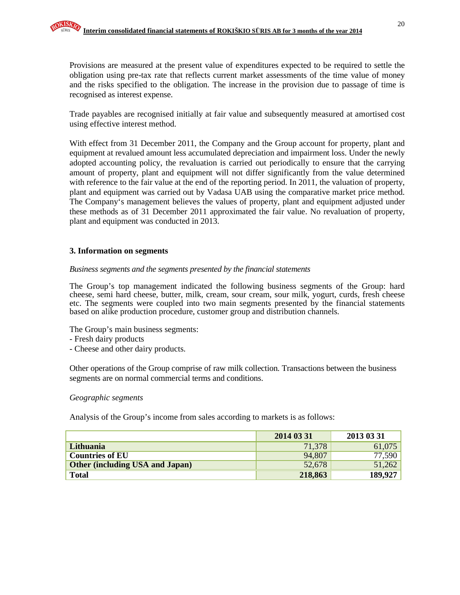Provisions are measured at the present value of expenditures expected to be required to settle the obligation using pre-tax rate that reflects current market assessments of the time value of money and the risks specified to the obligation. The increase in the provision due to passage of time is

Trade payables are recognised initially at fair value and subsequently measured at amortised cost using effective interest method.

With effect from 31 December 2011, the Company and the Group account for property, plant and equipment at revalued amount less accumulated depreciation and impairment loss. Under the newly adopted accounting policy, the revaluation is carried out periodically to ensure that the carrying amount of property, plant and equipment will not differ significantly from the value determined with reference to the fair value at the end of the reporting period. In 2011, the valuation of property, plant and equipment was carried out by Vadasa UAB using the comparative market price method. The Company's management believes the values of property, plant and equipment adjusted under these methods as of 31 December 2011 approximated the fair value. No revaluation of property, plant and equipment was conducted in 2013.

#### **3. Information on segments**

recognised as interest expense.

#### *Business segments and the segments presented by the financial statements*

The Group's top management indicated the following business segments of the Group: hard cheese, semi hard cheese, butter, milk, cream, sour cream, sour milk, yogurt, curds, fresh cheese etc. The segments were coupled into two main segments presented by the financial statements based on alike production procedure, customer group and distribution channels.

The Group's main business segments:

- Fresh dairy products
- Cheese and other dairy products.

Other operations of the Group comprise of raw milk collection. Transactions between the business segments are on normal commercial terms and conditions.

#### *Geographic segments*

Analysis of the Group's income from sales according to markets is as follows:

|                                        | 2014 03 31 | 2013 03 31 |
|----------------------------------------|------------|------------|
| Lithuania                              | 71,378     | 61,075     |
| <b>Countries of EU</b>                 | 94,807     | 77,590     |
| <b>Other (including USA and Japan)</b> | 52,678     | 51,262     |
| <b>Total</b>                           | 218,863    | 189,927    |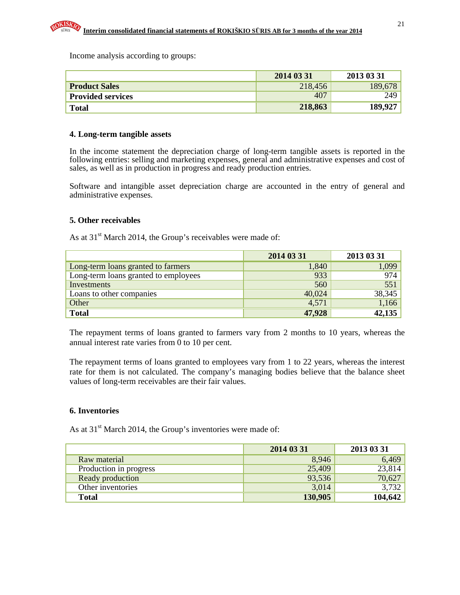Income analysis according to groups:

|                          | 2014 03 31      | 2013 03 31 |
|--------------------------|-----------------|------------|
| <b>Product Sales</b>     | 218,456         | 189,678    |
| <b>Provided services</b> | 40 <sup>7</sup> | 249.       |
| <b>Total</b>             | 218,863         | 189.927    |

#### **4. Long-term tangible assets**

In the income statement the depreciation charge of long-term tangible assets is reported in the following entries: selling and marketing expenses, general and administrative expenses and cost of sales, as well as in production in progress and ready production entries.

Software and intangible asset depreciation charge are accounted in the entry of general and administrative expenses.

#### **5. Other receivables**

As at  $31<sup>st</sup>$  March 2014, the Group's receivables were made of:

|                                      | 2014 03 31 | 2013 03 31 |
|--------------------------------------|------------|------------|
| Long-term loans granted to farmers   | 1,840      | 1,099      |
| Long-term loans granted to employees | 933        | 974        |
| Investments                          | 560        | 551        |
| Loans to other companies             | 40,024     | 38,345     |
| Other                                | 4,571      | 1,166      |
| <b>Total</b>                         | 47,928     | 42,135     |

The repayment terms of loans granted to farmers vary from 2 months to 10 years, whereas the annual interest rate varies from 0 to 10 per cent.

The repayment terms of loans granted to employees vary from 1 to 22 years, whereas the interest rate for them is not calculated. The company's managing bodies believe that the balance sheet values of long-term receivables are their fair values.

#### **6. Inventories**

As at 31<sup>st</sup> March 2014, the Group's inventories were made of:

|                        | 2014 03 31 | 2013 03 31 |
|------------------------|------------|------------|
| Raw material           | 8,946      | 6,469      |
| Production in progress | 25,409     | 23,814     |
| Ready production       | 93,536     | 70,627     |
| Other inventories      | 3,014      | 3,732      |
| <b>Total</b>           | 130,905    | 104,642    |